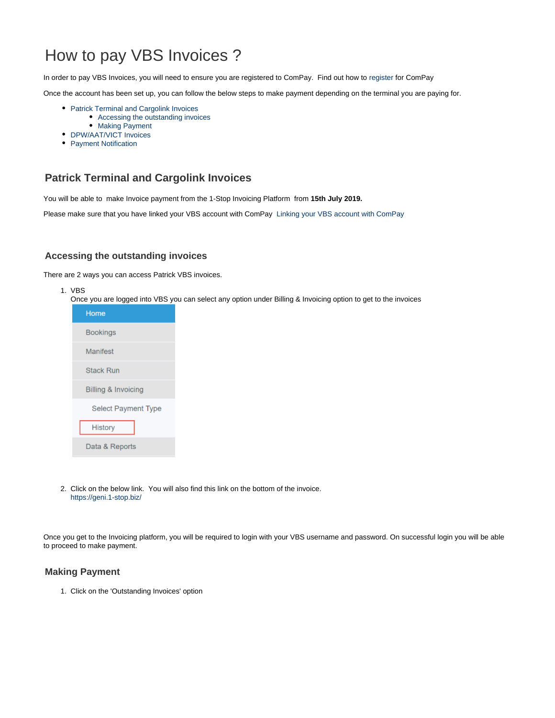# How to pay VBS Invoices ?

In order to pay VBS Invoices, you will need to ensure you are registered to ComPay. Find out how to [register](https://help.1-stop.biz/pages/viewpage.action?pageId=11075688) for ComPay

Once the account has been set up, you can follow the below steps to make payment depending on the terminal you are paying for.

- **Patrick Terminal and Cargolink Invoices** [Accessing the outstanding invoices](#page-0-1)
	- [Making Payment](#page-0-2)
- [DPW/AAT/VICT Invoices](#page-2-0)
- [Payment Notification](#page-3-0)

# <span id="page-0-0"></span>**Patrick Terminal and Cargolink Invoices**

You will be able to make Invoice payment from the 1-Stop Invoicing Platform from **15th July 2019.**

Please make sure that you have linked your VBS account with ComPay [Linking your VBS account with ComPay](https://help.1-stop.biz/pages/viewpage.action?pageId=36569089)

#### <span id="page-0-1"></span>**Accessing the outstanding invoices**

There are 2 ways you can access Patrick VBS invoices.

- 1. VBS
	- Once you are logged into VBS you can select any option under Billing & Invoicing option to get to the invoices



2. Click on the below link. You will also find this link on the bottom of the invoice. <https://geni.1-stop.biz/>

Once you get to the Invoicing platform, you will be required to login with your VBS username and password. On successful login you will be able to proceed to make payment.

#### <span id="page-0-2"></span>**Making Payment**

1. Click on the 'Outstanding Invoices' option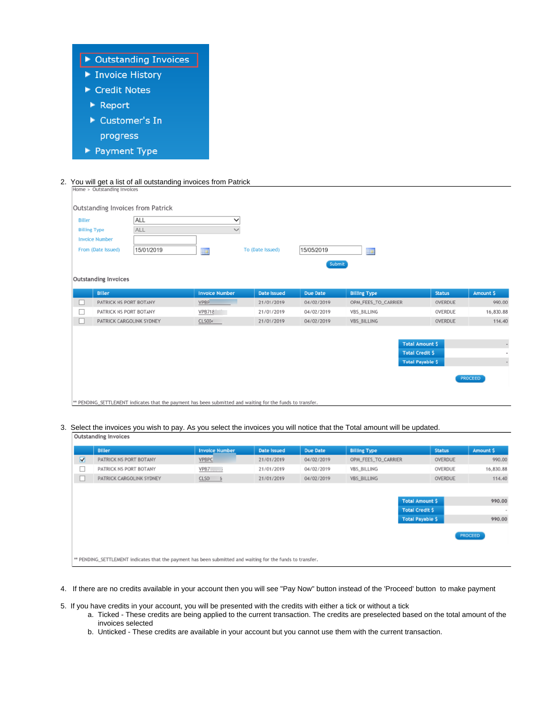

2. You will get a list of all outstanding invoices from Patrick

| <b>Billing Type</b><br><b>Invoice Number</b> |                             | ALL        |                       |                  |                 |                     |                         |         |           |
|----------------------------------------------|-----------------------------|------------|-----------------------|------------------|-----------------|---------------------|-------------------------|---------|-----------|
|                                              |                             |            | $\checkmark$          |                  |                 |                     |                         |         |           |
|                                              |                             |            |                       |                  |                 |                     |                         |         |           |
|                                              | From (Date Issued)          | 15/01/2019 | <b>THE</b>            | To (Date Issued) | 15/05/2019      | 1141                |                         |         |           |
|                                              |                             |            |                       |                  | Submit          |                     |                         |         |           |
|                                              |                             |            |                       |                  |                 |                     |                         |         |           |
|                                              | <b>Outstanding Invoices</b> |            |                       |                  |                 |                     |                         |         |           |
|                                              | <b>Biller</b>               |            | <b>Invoice Number</b> | Date Issued      | <b>Due Date</b> | <b>Billing Type</b> | <b>Status</b>           |         | Amount \$ |
| ш                                            | PATRICK NS PORT BOTANY      |            | VPBP                  | 21/01/2019       | 04/02/2019      | OPM_FEES_TO_CARRIER |                         | OVERDUE | 990.00    |
| ш                                            | PATRICK NS PORT BOTANY      |            | VPB718                | 21/01/2019       | 04/02/2019      | VBS_BILLING         |                         | OVERDUE | 16,830.88 |
| ш                                            | PATRICK CARGOLINK SYDNEY    |            | CLS004                | 21/01/2019       | 04/02/2019      | <b>VBS BILLING</b>  |                         | OVERDUE | 114.40    |
|                                              |                             |            |                       |                  |                 |                     |                         |         |           |
|                                              |                             |            |                       |                  |                 |                     | <b>Total Amount \$</b>  |         | ٠         |
|                                              |                             |            |                       |                  |                 |                     | <b>Total Credit \$</b>  |         |           |
|                                              |                             |            |                       |                  |                 |                     | <b>Total Payable \$</b> |         | $\sim$    |
|                                              | PROCEED                     |            |                       |                  |                 |                     |                         |         |           |

\*\* PENDING\_SETTLEMENT indicates that the payment has been submitted and waiting for the funds to transfer.

3. Select the invoices you wish to pay. As you select the invoices you will notice that the Total amount will be updated.

|        | <b>Biller</b>                                                                                              | <b>Invoice Number</b> | <b>Date Issued</b> | Due Date   | <b>Billing Type</b>  | <b>Status</b>           | Amount \$ |
|--------|------------------------------------------------------------------------------------------------------------|-----------------------|--------------------|------------|----------------------|-------------------------|-----------|
| ☑      | PATRICK NS PORT BOTANY                                                                                     | <b>VPBPC</b>          | 21/01/2019         | 04/02/2019 | OPIA_FEES_TO_CARRIER | OVERDUE                 | 990.00    |
| ш      | PATRICK NS PORT BOTANY                                                                                     | <b>VPB7</b>           | 21/01/2019         | 04/02/2019 | <b>VBS BILLING</b>   | OVERDUE                 | 16,830.88 |
| $\Box$ | PATRICK CARGOLINK SYDNEY                                                                                   | CLSO<br>$-5$          | 21/01/2019         | 04/02/2019 | <b>VBS BILLING</b>   | OVERDUE                 | 114.40    |
|        |                                                                                                            |                       |                    |            |                      |                         |           |
|        | <b>Total Amount \$</b>                                                                                     |                       |                    |            |                      |                         | 990.00    |
|        |                                                                                                            |                       |                    |            |                      | <b>Total Credit \$</b>  | $\sim$    |
|        |                                                                                                            |                       |                    |            |                      | <b>Total Payable \$</b> | 990.00    |
|        |                                                                                                            |                       |                    |            |                      |                         |           |
|        |                                                                                                            |                       |                    |            |                      |                         | PROCEED   |
|        |                                                                                                            |                       |                    |            |                      |                         |           |
|        | ** PENDING_SETTLEMENT indicates that the payment has been submitted and waiting for the funds to transfer. |                       |                    |            |                      |                         |           |

- 4. If there are no credits available in your account then you will see "Pay Now" button instead of the 'Proceed' button to make payment
- 5. If you have credits in your account, you will be presented with the credits with either a tick or without a tick
	- a. Ticked These credits are being applied to the current transaction. The credits are preselected based on the total amount of the invoices selected
	- b. Unticked These credits are available in your account but you cannot use them with the current transaction.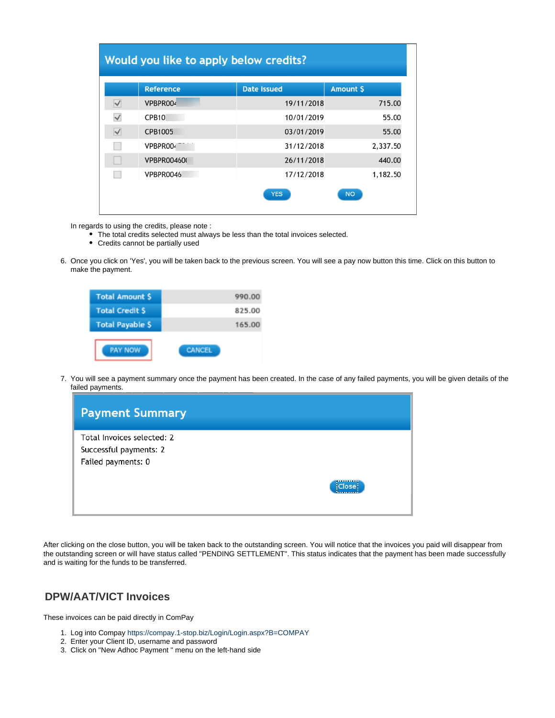|                      | <b>Reference</b>   | <b>Date Issued</b> | <b>Amount \$</b> |
|----------------------|--------------------|--------------------|------------------|
| $\blacktriangledown$ | VPBPR004           | 19/11/2018         | 715.00           |
| $\checkmark$         | CPB10              | 10/01/2019         | 55.00            |
| √                    | CPB1005            | 03/01/2019         | 55.00            |
|                      | VPBPR004           | 31/12/2018         | 2,337.50         |
|                      | <b>VPBPR004600</b> | 26/11/2018         | 440.00           |
|                      | VPBPR0046          | 17/12/2018         | 1,182.50         |

In regards to using the credits, please note :

- The total credits selected must always be less than the total invoices selected.
- Credits cannot be partially used
- 6. Once you click on 'Yes', you will be taken back to the previous screen. You will see a pay now button this time. Click on this button to make the payment.

| <b>Total Amount \$</b>  | 990.00        |
|-------------------------|---------------|
| <b>Total Credit S</b>   | 825.00        |
| <b>Total Payable \$</b> | 165.00        |
| <b>PAY NOW</b>          | <b>CANCEL</b> |

7. You will see a payment summary once the payment has been created. In the case of any failed payments, you will be given details of the failed payments.



After clicking on the close button, you will be taken back to the outstanding screen. You will notice that the invoices you paid will disappear from the outstanding screen or will have status called "PENDING SETTLEMENT". This status indicates that the payment has been made successfully and is waiting for the funds to be transferred.

### <span id="page-2-0"></span>**DPW/AAT/VICT Invoices**

These invoices can be paid directly in ComPay

- 1. Log into Compay <https://compay.1-stop.biz/Login/Login.aspx?B=COMPAY>
- 2. Enter your Client ID, username and password
- 3. Click on "New Adhoc Payment " menu on the left-hand side